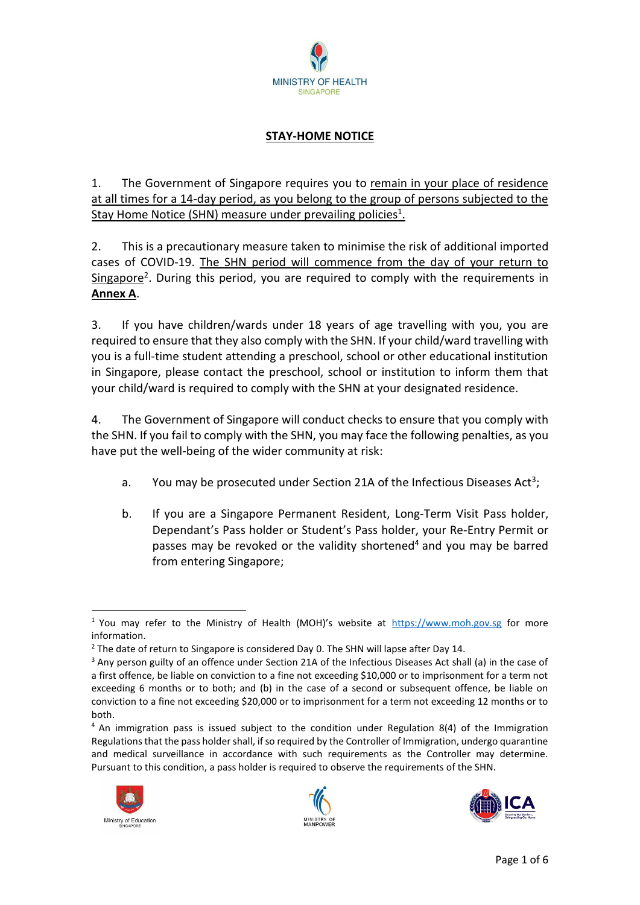

# **STAY-HOME NOTICE**

1. The Government of Singapore requires you to remain in your place of residence at all times for a 14-day period, as you belong to the group of persons subjected to the Stay Home Notice (SHN) measure under prevailing policies<sup>1</sup>.

2. This is a precautionary measure taken to minimise the risk of additional imported cases of COVID-19. The SHN period will commence from the day of your return to Singapore<sup>2</sup>. During this period, you are required to comply with the requirements in **Annex A**.

3. If you have children/wards under 18 years of age travelling with you, you are required to ensure that they also comply with the SHN. If your child/ward travelling with you is a full-time student attending a preschool, school or other educational institution in Singapore, please contact the preschool, school or institution to inform them that your child/ward is required to comply with the SHN at your designated residence.

4. The Government of Singapore will conduct checks to ensure that you comply with the SHN. If you fail to comply with the SHN, you may face the following penalties, as you have put the well-being of the wider community at risk:

- a. You may be prosecuted under Section 21A of the Infectious Diseases Act<sup>3</sup>;
- b. If you are a Singapore Permanent Resident, Long-Term Visit Pass holder, Dependant's Pass holder or Student's Pass holder, your Re-Entry Permit or passes may be revoked or the validity shortened<sup>4</sup> and you may be barred from entering Singapore;

<sup>&</sup>lt;sup>4</sup> An immigration pass is issued subject to the condition under Regulation 8(4) of the Immigration Regulations that the pass holder shall, if so required by the Controller of Immigration, undergo quarantine and medical surveillance in accordance with such requirements as the Controller may determine. Pursuant to this condition, a pass holder is required to observe the requirements of the SHN.



**.** 





<sup>&</sup>lt;sup>1</sup> You may refer to the Ministry of Health (MOH)'s website at [https://www.moh.gov.sg](https://www.moh.gov.sgf/) for more information.

 $<sup>2</sup>$  The date of return to Singapore is considered Day 0. The SHN will lapse after Day 14.</sup>

<sup>&</sup>lt;sup>3</sup> Any person guilty of an offence under Section 21A of the Infectious Diseases Act shall (a) in the case of a first offence, be liable on conviction to a fine not exceeding \$10,000 or to imprisonment for a term not exceeding 6 months or to both; and (b) in the case of a second or subsequent offence, be liable on conviction to a fine not exceeding \$20,000 or to imprisonment for a term not exceeding 12 months or to both.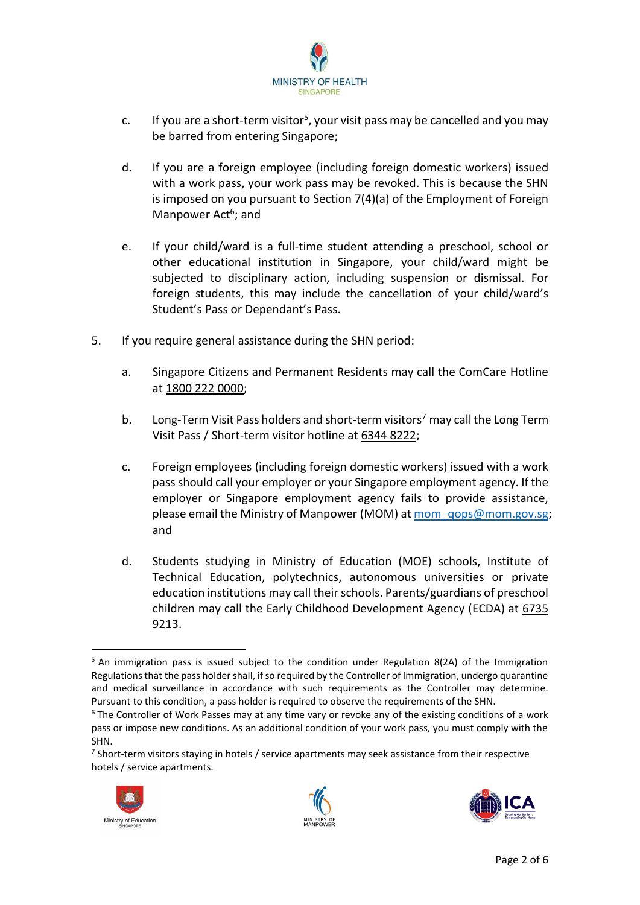

- c. If you are a short-term visitor<sup>5</sup>, your visit pass may be cancelled and you may be barred from entering Singapore;
- d. If you are a foreign employee (including foreign domestic workers) issued with a work pass, your work pass may be revoked. This is because the SHN is imposed on you pursuant to Section 7(4)(a) of the Employment of Foreign Manpower Act<sup>6</sup>; and
- e. If your child/ward is a full-time student attending a preschool, school or other educational institution in Singapore, your child/ward might be subjected to disciplinary action, including suspension or dismissal. For foreign students, this may include the cancellation of your child/ward's Student's Pass or Dependant's Pass.
- 5. If you require general assistance during the SHN period:
	- a. Singapore Citizens and Permanent Residents may call the ComCare Hotline at 1800 222 0000;
	- b. Long-Term Visit Pass holders and short-term visitors<sup>7</sup> may call the Long Term Visit Pass / Short-term visitor hotline at 6344 8222;
	- c. Foreign employees (including foreign domestic workers) issued with a work pass should call your employer or your Singapore employment agency. If the employer or Singapore employment agency fails to provide assistance, please email the Ministry of Manpower (MOM) at mom qops@mom.gov.sg; and
	- d. Students studying in Ministry of Education (MOE) schools, Institute of Technical Education, polytechnics, autonomous universities or private education institutions may call their schools. Parents/guardians of preschool children may call the Early Childhood Development Agency (ECDA) at 6735 9213.

<sup>&</sup>lt;sup>7</sup> Short-term visitors staying in hotels / service apartments may seek assistance from their respective hotels / service apartments.



1





 $5$  An immigration pass is issued subject to the condition under Regulation 8(2A) of the Immigration Regulations that the pass holder shall, if so required by the Controller of Immigration, undergo quarantine and medical surveillance in accordance with such requirements as the Controller may determine. Pursuant to this condition, a pass holder is required to observe the requirements of the SHN.

 $6$  The Controller of Work Passes may at any time vary or revoke any of the existing conditions of a work pass or impose new conditions. As an additional condition of your work pass, you must comply with the SHN.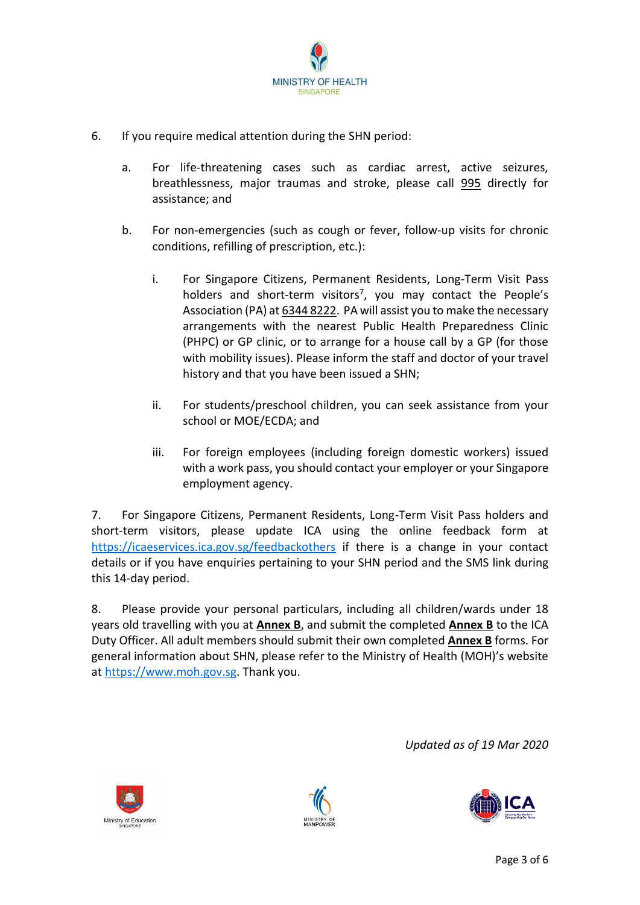

- 6. If you require medical attention during the SHN period:
	- a. For life-threatening cases such as cardiac arrest, active seizures, breathlessness, major traumas and stroke, please call 995 directly for assistance; and
	- b. For non-emergencies (such as cough or fever, follow-up visits for chronic conditions, refilling of prescription, etc.):
		- i. For Singapore Citizens, Permanent Residents, Long-Term Visit Pass holders and short-term visitors<sup>7</sup>, you may contact the People's Association (PA) at 6344 8222. PA will assist you to make the necessary arrangements with the nearest Public Health Preparedness Clinic (PHPC) or GP clinic, or to arrange for a house call by a GP (for those with mobility issues). Please inform the staff and doctor of your travel history and that you have been issued a SHN;
		- ii. For students/preschool children, you can seek assistance from your school or MOE/ECDA; and
		- iii. For foreign employees (including foreign domestic workers) issued with a work pass, you should contact your employer or your Singapore employment agency.

7. For Singapore Citizens, Permanent Residents, Long-Term Visit Pass holders and short-term visitors, please update ICA using the online feedback form at <https://icaeservices.ica.gov.sg/feedbackothers> if there is a change in your contact details or if you have enquiries pertaining to your SHN period and the SMS link during this 14-day period.

8. Please provide your personal particulars, including all children/wards under 18 years old travelling with you at **Annex B**, and submit the completed **Annex B** to the ICA Duty Officer. All adult members should submit their own completed **Annex B** forms. For general information about SHN, please refer to the Ministry of Health (MOH)'s website at [https://www.moh.gov.sg.](https://www.moh.gov.sg/) Thank you.

*Updated as of 19 Mar 2020*





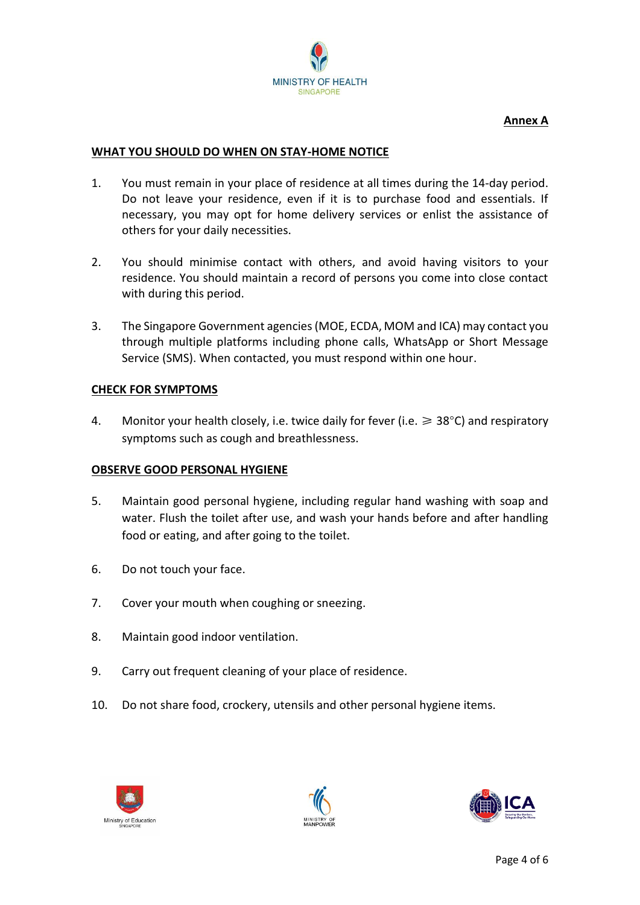

## **Annex A**

#### **WHAT YOU SHOULD DO WHEN ON STAY-HOME NOTICE**

- 1. You must remain in your place of residence at all times during the 14-day period. Do not leave your residence, even if it is to purchase food and essentials. If necessary, you may opt for home delivery services or enlist the assistance of others for your daily necessities.
- 2. You should minimise contact with others, and avoid having visitors to your residence. You should maintain a record of persons you come into close contact with during this period.
- 3. The Singapore Government agencies (MOE, ECDA, MOM and ICA) may contact you through multiple platforms including phone calls, WhatsApp or Short Message Service (SMS). When contacted, you must respond within one hour.

### **CHECK FOR SYMPTOMS**

4. Monitor your health closely, i.e. twice daily for fever (i.e.  $\geq 38^{\circ}$ C) and respiratory symptoms such as cough and breathlessness.

### **OBSERVE GOOD PERSONAL HYGIENE**

- 5. Maintain good personal hygiene, including regular hand washing with soap and water. Flush the toilet after use, and wash your hands before and after handling food or eating, and after going to the toilet.
- 6. Do not touch your face.
- 7. Cover your mouth when coughing or sneezing.
- 8. Maintain good indoor ventilation.
- 9. Carry out frequent cleaning of your place of residence.
- 10. Do not share food, crockery, utensils and other personal hygiene items.





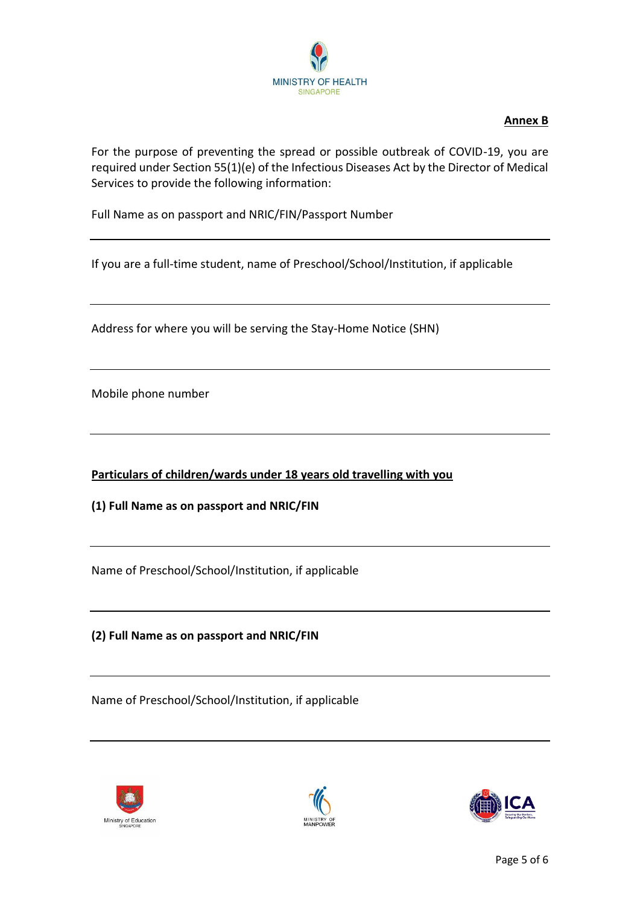

## **Annex B**

For the purpose of preventing the spread or possible outbreak of COVID-19, you are required under Section 55(1)(e) of the Infectious Diseases Act by the Director of Medical Services to provide the following information:

Full Name as on passport and NRIC/FIN/Passport Number

If you are a full-time student, name of Preschool/School/Institution, if applicable

Address for where you will be serving the Stay-Home Notice (SHN)

Mobile phone number

**Particulars of children/wards under 18 years old travelling with you**

**(1) Full Name as on passport and NRIC/FIN**

Name of Preschool/School/Institution, if applicable

**(2) Full Name as on passport and NRIC/FIN** 

Name of Preschool/School/Institution, if applicable